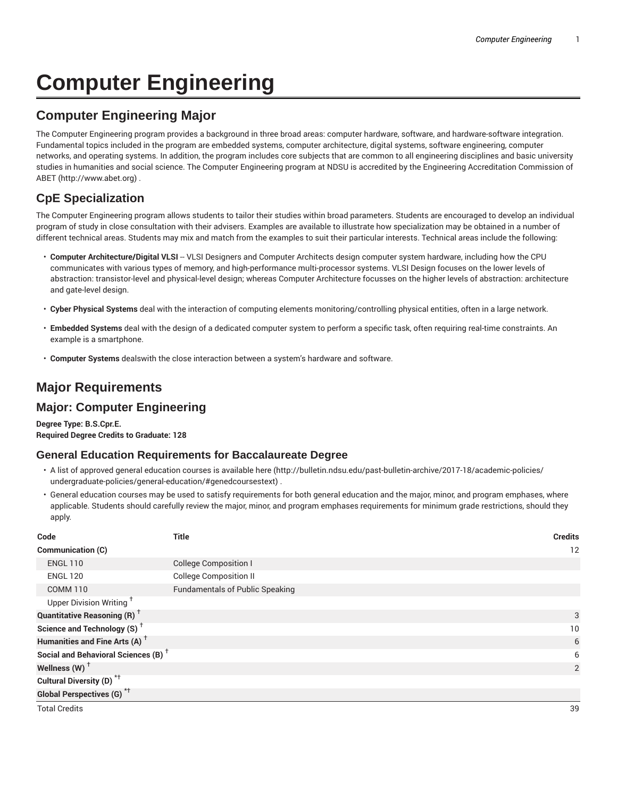# **Computer Engineering**

# **Computer Engineering Major**

The Computer Engineering program provides a background in three broad areas: computer hardware, software, and hardware-software integration. Fundamental topics included in the program are embedded systems, computer architecture, digital systems, software engineering, computer networks, and operating systems. In addition, the program includes core subjects that are common to all engineering disciplines and basic university studies in humanities and social science. The Computer Engineering program at NDSU is accredited by the Engineering Accreditation Commission of ABET (http://www.abet.org) .

## **CpE Specialization**

The Computer Engineering program allows students to tailor their studies within broad parameters. Students are encouraged to develop an individual program of study in close consultation with their advisers. Examples are available to illustrate how specialization may be obtained in a number of different technical areas. Students may mix and match from the examples to suit their particular interests. Technical areas include the following:

- Computer Architecture/Digital VLSI -- VLSI Designers and Computer Architects design computer system hardware, including how the CPU communicates with various types of memory, and high-performance multi-processor systems. VLSI Design focuses on the lower levels of abstraction: transistor-level and physical-level design; whereas Computer Architecture focusses on the higher levels of abstraction: architecture and gate-level design.
- **Cyber Physical Systems** deal with the interaction of computing elements monitoring/controlling physical entities, often in a large network.
- **Embedded Systems** deal with the design of a dedicated computer system to perform a specific task, often requiring real-time constraints. An example is a smartphone.
- **Computer Systems** dealswith the close interaction between a system's hardware and software.

# **Major Requirements**

## **Major: Computer Engineering**

**Degree Type: B.S.Cpr.E. Required Degree Credits to Graduate: 128**

#### **General Education Requirements for Baccalaureate Degree**

- A list of approved general education courses is available here (http://bulletin.ndsu.edu/past-bulletin-archive/2017-18/academic-policies/ undergraduate-policies/general-education/#genedcoursestext) .
- General education courses may be used to satisfy requirements for both general education and the major, minor, and program emphases, where applicable. Students should carefully review the major, minor, and program emphases requirements for minimum grade restrictions, should they apply.

| Code                                            | <b>Title</b>                           | <b>Credits</b> |
|-------------------------------------------------|----------------------------------------|----------------|
| Communication (C)                               |                                        | 12             |
| <b>ENGL 110</b>                                 | <b>College Composition I</b>           |                |
| <b>ENGL 120</b>                                 | <b>College Composition II</b>          |                |
| <b>COMM 110</b>                                 | <b>Fundamentals of Public Speaking</b> |                |
| Upper Division Writing <sup>†</sup>             |                                        |                |
| <b>Quantitative Reasoning (R)</b> <sup>+</sup>  |                                        | 3              |
| Science and Technology (S) <sup>+</sup>         |                                        | 10             |
| Humanities and Fine Arts (A) <sup>+</sup>       |                                        | 6              |
| Social and Behavioral Sciences (B) <sup>+</sup> |                                        | 6              |
| Wellness $(W)$ <sup>+</sup>                     |                                        | $\overline{2}$ |
| Cultural Diversity (D) <sup>*†</sup>            |                                        |                |
| Global Perspectives (G) <sup>*†</sup>           |                                        |                |
| <b>Total Credits</b>                            |                                        | 39             |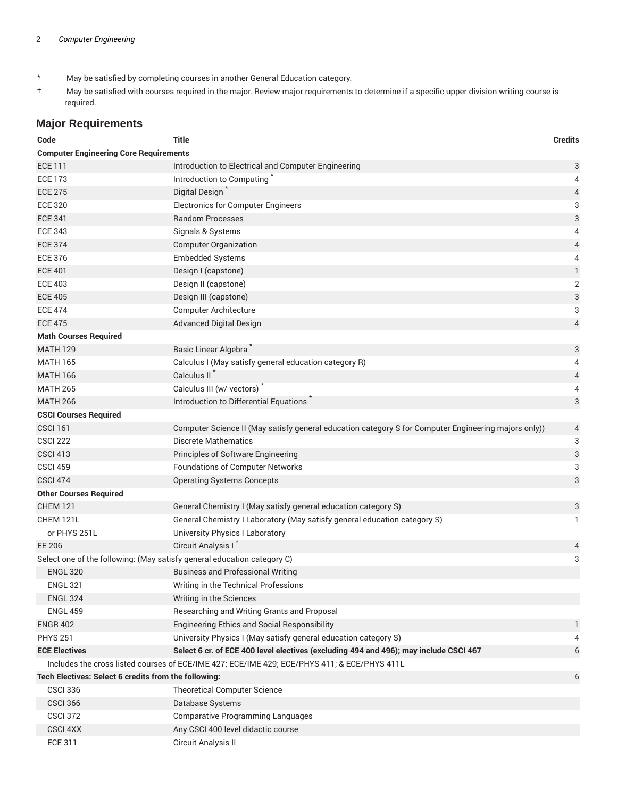- \* May be satisfied by completing courses in another General Education category.
- † May be satisfied with courses required in the major. Review major requirements to determine if a specific upper division writing course is required.

### **Major Requirements**

| Code                                                                    | <b>Title</b>                                                                                         | <b>Credits</b> |
|-------------------------------------------------------------------------|------------------------------------------------------------------------------------------------------|----------------|
| <b>Computer Engineering Core Requirements</b>                           |                                                                                                      |                |
| <b>ECE 111</b>                                                          | Introduction to Electrical and Computer Engineering                                                  | 3              |
| <b>ECE 173</b>                                                          | Introduction to Computing                                                                            | 4              |
| <b>ECE 275</b>                                                          | Digital Design                                                                                       | $\overline{4}$ |
| <b>ECE 320</b>                                                          | <b>Electronics for Computer Engineers</b>                                                            | 3              |
| <b>ECE 341</b>                                                          | <b>Random Processes</b>                                                                              | $\sqrt{3}$     |
| <b>ECE 343</b>                                                          | Signals & Systems                                                                                    | 4              |
| <b>ECE 374</b>                                                          | <b>Computer Organization</b>                                                                         | 4              |
| <b>ECE 376</b>                                                          | <b>Embedded Systems</b>                                                                              | 4              |
| <b>ECE 401</b>                                                          | Design I (capstone)                                                                                  | $\mathbf{1}$   |
| <b>ECE 403</b>                                                          | Design II (capstone)                                                                                 | $\sqrt{2}$     |
| <b>ECE 405</b>                                                          | Design III (capstone)                                                                                | 3              |
| <b>ECE 474</b>                                                          | <b>Computer Architecture</b>                                                                         | 3              |
| <b>ECE 475</b>                                                          | <b>Advanced Digital Design</b>                                                                       | $\overline{4}$ |
| <b>Math Courses Required</b>                                            |                                                                                                      |                |
| <b>MATH 129</b>                                                         | Basic Linear Algebra <sup>*</sup>                                                                    | 3              |
| <b>MATH 165</b>                                                         | Calculus I (May satisfy general education category R)                                                | 4              |
| <b>MATH 166</b>                                                         | Calculus II <sup>*</sup>                                                                             | $\overline{4}$ |
| <b>MATH 265</b>                                                         | Calculus III (w/ vectors)                                                                            | 4              |
| <b>MATH 266</b>                                                         | Introduction to Differential Equations                                                               | 3              |
| <b>CSCI Courses Required</b>                                            |                                                                                                      |                |
| <b>CSCI 161</b>                                                         | Computer Science II (May satisfy general education category S for Computer Engineering majors only)) | $\overline{4}$ |
| <b>CSCI 222</b>                                                         | <b>Discrete Mathematics</b>                                                                          | 3              |
| <b>CSCI 413</b>                                                         | Principles of Software Engineering                                                                   | 3              |
| <b>CSCI 459</b>                                                         | <b>Foundations of Computer Networks</b>                                                              | 3              |
| <b>CSCI 474</b>                                                         | <b>Operating Systems Concepts</b>                                                                    | 3              |
| <b>Other Courses Required</b>                                           |                                                                                                      |                |
| <b>CHEM 121</b>                                                         | General Chemistry I (May satisfy general education category S)                                       | 3              |
| CHEM 121L                                                               | General Chemistry I Laboratory (May satisfy general education category S)                            | 1              |
| or PHYS 251L                                                            | <b>University Physics I Laboratory</b>                                                               |                |
| EE 206                                                                  | Circuit Analysis I                                                                                   | 4              |
| Select one of the following: (May satisfy general education category C) |                                                                                                      | 3              |
| <b>ENGL 320</b>                                                         | <b>Business and Professional Writing</b>                                                             |                |
| <b>ENGL 321</b>                                                         | Writing in the Technical Professions                                                                 |                |
| <b>ENGL 324</b>                                                         | Writing in the Sciences                                                                              |                |
| <b>ENGL 459</b>                                                         | Researching and Writing Grants and Proposal                                                          |                |
| <b>ENGR 402</b>                                                         | <b>Engineering Ethics and Social Responsibility</b>                                                  | 1              |
| <b>PHYS 251</b>                                                         | University Physics I (May satisfy general education category S)                                      | 4              |
| <b>ECE Electives</b>                                                    | Select 6 cr. of ECE 400 level electives (excluding 494 and 496); may include CSCI 467                | 6              |
|                                                                         | Includes the cross listed courses of ECE/IME 427; ECE/IME 429; ECE/PHYS 411; & ECE/PHYS 411L         |                |
| Tech Electives: Select 6 credits from the following:                    |                                                                                                      |                |
| <b>CSCI 336</b>                                                         | <b>Theoretical Computer Science</b>                                                                  |                |
| <b>CSCI 366</b>                                                         | Database Systems                                                                                     |                |
| <b>CSCI 372</b>                                                         | <b>Comparative Programming Languages</b>                                                             |                |
| <b>CSCI 4XX</b>                                                         | Any CSCI 400 level didactic course                                                                   |                |
| <b>ECE 311</b>                                                          | Circuit Analysis II                                                                                  |                |